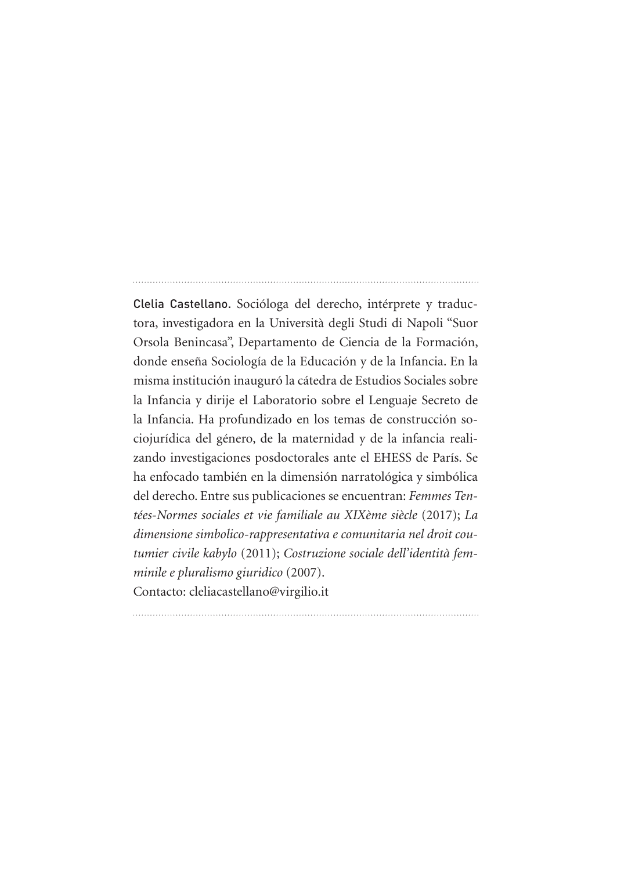Clelia Castellano. Socióloga del derecho, intérprete y traductora, investigadora en la Università degli Studi di Napoli "Suor Orsola Benincasa", Departamento de Ciencia de la Formación, donde enseña Sociología de la Educación y de la Infancia. En la misma institución inauguró la cátedra de Estudios Sociales sobre la Infancia y dirije el Laboratorio sobre el Lenguaje Secreto de la Infancia. Ha profundizado en los temas de construcción sociojurídica del género, de la maternidad y de la infancia realizando investigaciones posdoctorales ante el EHESS de París. Se ha enfocado también en la dimensión narratológica y simbólica del derecho. Entre sus publicaciones se encuentran: *Femmes Tentées-Normes sociales et vie familiale au XIXème siècle* (2017); *La dimensione simbolico-rappresentativa e comunitaria nel droit coutumier civile kabylo* (2011); *Costruzione sociale dell'identità femminile e pluralismo giuridico* (2007).

Contacto: cleliacastellano@virgilio.it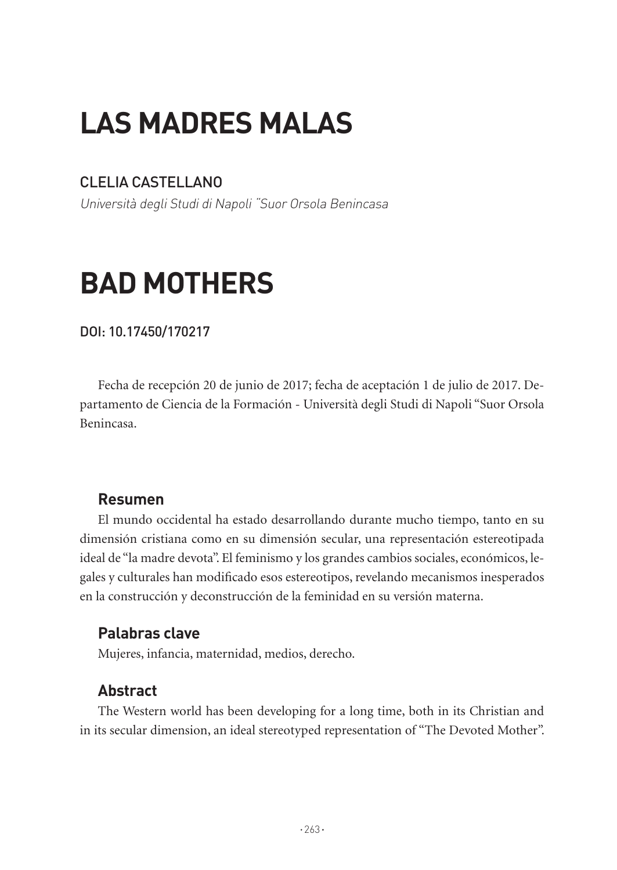## **LAS MADRES MALAS**

## CLELIA CASTELLANO

Università degli Studi di Napoli "Suor Orsola Benincasa

# **BAD MOTHERS**

#### DOI: 10.17450/170217

Fecha de recepción 20 de junio de 2017; fecha de aceptación 1 de julio de 2017. Departamento de Ciencia de la Formación - Università degli Studi di Napoli "Suor Orsola Benincasa.

## **Resumen**

El mundo occidental ha estado desarrollando durante mucho tiempo, tanto en su dimensión cristiana como en su dimensión secular, una representación estereotipada ideal de "la madre devota". El feminismo y los grandes cambios sociales, económicos, legales y culturales han modificado esos estereotipos, revelando mecanismos inesperados en la construcción y deconstrucción de la feminidad en su versión materna.

## **Palabras clave**

Mujeres, infancia, maternidad, medios, derecho.

## **Abstract**

The Western world has been developing for a long time, both in its Christian and in its secular dimension, an ideal stereotyped representation of "The Devoted Mother".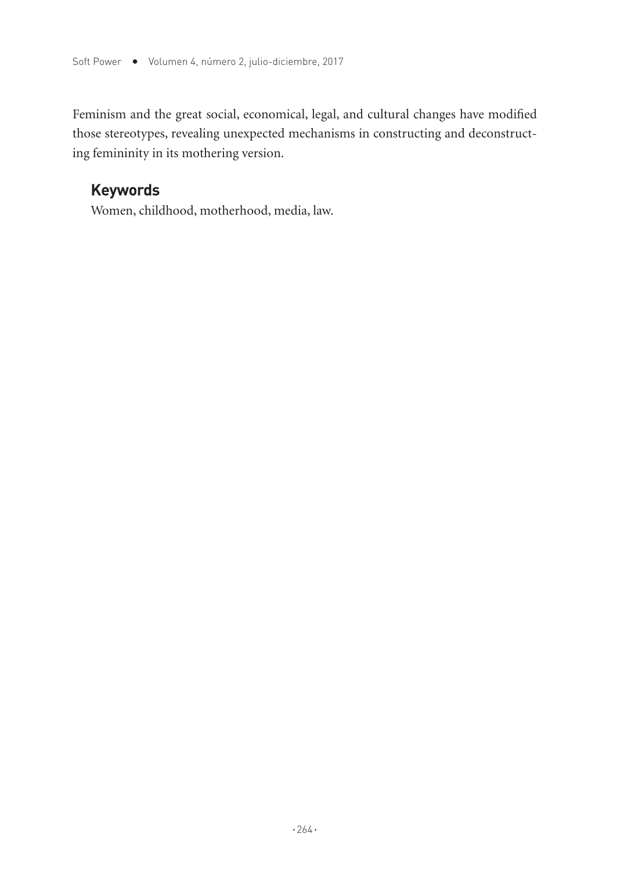Feminism and the great social, economical, legal, and cultural changes have modified those stereotypes, revealing unexpected mechanisms in constructing and deconstructing femininity in its mothering version.

### **Keywords**

Women, childhood, motherhood, media, law.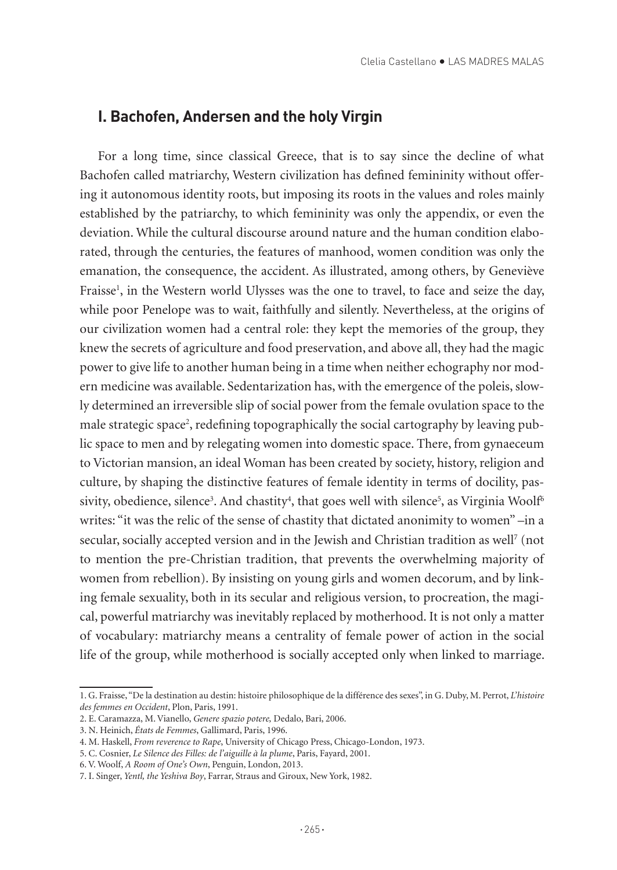#### **I. Bachofen, Andersen and the holy Virgin**

For a long time, since classical Greece, that is to say since the decline of what Bachofen called matriarchy, Western civilization has defined femininity without offering it autonomous identity roots, but imposing its roots in the values and roles mainly established by the patriarchy, to which femininity was only the appendix, or even the deviation. While the cultural discourse around nature and the human condition elaborated, through the centuries, the features of manhood, women condition was only the emanation, the consequence, the accident. As illustrated, among others, by Geneviève Fraisse<sup>1</sup>, in the Western world Ulysses was the one to travel, to face and seize the day, while poor Penelope was to wait, faithfully and silently. Nevertheless, at the origins of our civilization women had a central role: they kept the memories of the group, they knew the secrets of agriculture and food preservation, and above all, they had the magic power to give life to another human being in a time when neither echography nor modern medicine was available. Sedentarization has, with the emergence of the poleis, slowly determined an irreversible slip of social power from the female ovulation space to the male strategic space<sup>2</sup>, redefining topographically the social cartography by leaving public space to men and by relegating women into domestic space. There, from gynaeceum to Victorian mansion, an ideal Woman has been created by society, history, religion and culture, by shaping the distinctive features of female identity in terms of docility, passivity, obedience, silence $^3$ . And chastity $^4$ , that goes well with silence $^5$ , as Virginia Woolf $^6$ writes: "it was the relic of the sense of chastity that dictated anonimity to women" –in a secular, socially accepted version and in the Jewish and Christian tradition as well<sup>7</sup> (not to mention the pre-Christian tradition, that prevents the overwhelming majority of women from rebellion). By insisting on young girls and women decorum, and by linking female sexuality, both in its secular and religious version, to procreation, the magical, powerful matriarchy was inevitably replaced by motherhood. It is not only a matter of vocabulary: matriarchy means a centrality of female power of action in the social life of the group, while motherhood is socially accepted only when linked to marriage.

<sup>1.</sup> G. Fraisse, "De la destination au destin: histoire philosophique de la différence des sexes", in G. Duby, M. Perrot, *L'histoire des femmes en Occident*, Plon, Paris, 1991.

<sup>2.</sup> E. Caramazza, M. Vianello, *Genere spazio potere,* Dedalo, Bari, 2006.

<sup>3.</sup> N. Heinich, *États de Femmes*, Gallimard, Paris, 1996.

<sup>4.</sup> M. Haskell, *From reverence to Rape*, University of Chicago Press, Chicago-London, 1973.

<sup>5.</sup> C. Cosnier, *Le Silence des Filles: de l'aiguille à la plume*, Paris, Fayard, 2001.

<sup>6.</sup> V. Woolf, *A Room of One's Own*, Penguin, London, 2013.

<sup>7.</sup> I. Singer, *Yentl, the Yeshiva Boy*, Farrar, Straus and Giroux, New York, 1982.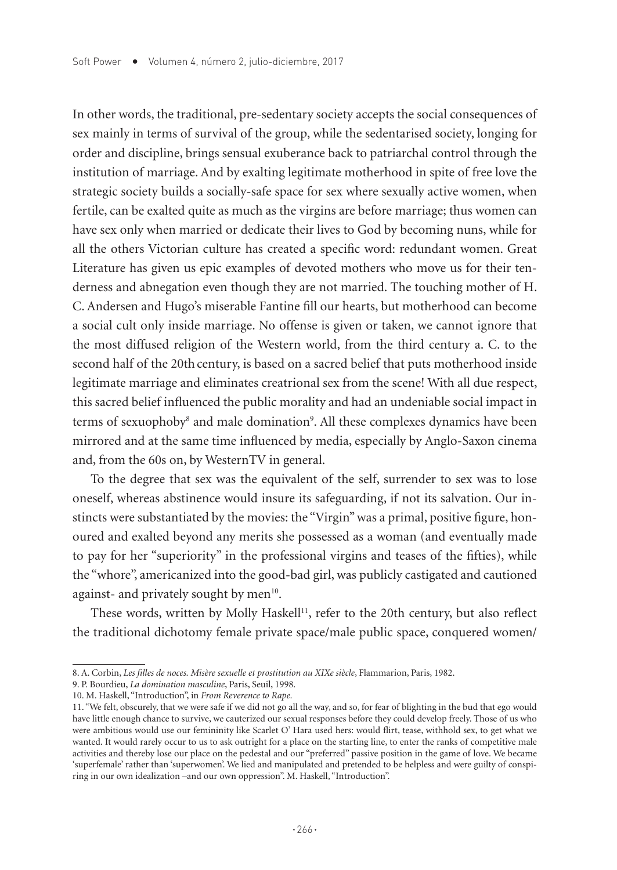In other words, the traditional, pre-sedentary society accepts the social consequences of sex mainly in terms of survival of the group, while the sedentarised society, longing for order and discipline, brings sensual exuberance back to patriarchal control through the institution of marriage. And by exalting legitimate motherhood in spite of free love the strategic society builds a socially-safe space for sex where sexually active women, when fertile, can be exalted quite as much as the virgins are before marriage; thus women can have sex only when married or dedicate their lives to God by becoming nuns, while for all the others Victorian culture has created a specific word: redundant women. Great Literature has given us epic examples of devoted mothers who move us for their tenderness and abnegation even though they are not married. The touching mother of H. C. Andersen and Hugo's miserable Fantine fill our hearts, but motherhood can become a social cult only inside marriage. No offense is given or taken, we cannot ignore that the most diffused religion of the Western world, from the third century a. C. to the second half of the 20th century, is based on a sacred belief that puts motherhood inside legitimate marriage and eliminates creatrional sex from the scene! With all due respect, this sacred belief influenced the public morality and had an undeniable social impact in terms of sexuophoby<sup>8</sup> and male domination<sup>9</sup>. All these complexes dynamics have been mirrored and at the same time influenced by media, especially by Anglo-Saxon cinema and, from the 60s on, by WesternTV in general.

To the degree that sex was the equivalent of the self, surrender to sex was to lose oneself, whereas abstinence would insure its safeguarding, if not its salvation. Our instincts were substantiated by the movies: the "Virgin" was a primal, positive figure, honoured and exalted beyond any merits she possessed as a woman (and eventually made to pay for her "superiority" in the professional virgins and teases of the fifties), while the "whore", americanized into the good-bad girl, was publicly castigated and cautioned against- and privately sought by men $10$ .

These words, written by Molly Haskell<sup>11</sup>, refer to the 20th century, but also reflect the traditional dichotomy female private space/male public space, conquered women/

<sup>8.</sup> A. Corbin, *Les filles de noces. Misère sexuelle et prostitution au XIXe siècle*, Flammarion, Paris, 1982.

<sup>9.</sup> P. Bourdieu, *La domination masculine*, Paris, Seuil, 1998.

<sup>10.</sup> M. Haskell, "Introduction", in *From Reverence to Rape.*

<sup>11. &</sup>quot;We felt, obscurely, that we were safe if we did not go all the way, and so, for fear of blighting in the bud that ego would have little enough chance to survive, we cauterized our sexual responses before they could develop freely. Those of us who were ambitious would use our femininity like Scarlet O' Hara used hers: would flirt, tease, withhold sex, to get what we wanted. It would rarely occur to us to ask outright for a place on the starting line, to enter the ranks of competitive male activities and thereby lose our place on the pedestal and our "preferred" passive position in the game of love. We became 'superfemale' rather than 'superwomen'. We lied and manipulated and pretended to be helpless and were guilty of conspiring in our own idealization –and our own oppression". M. Haskell, "Introduction".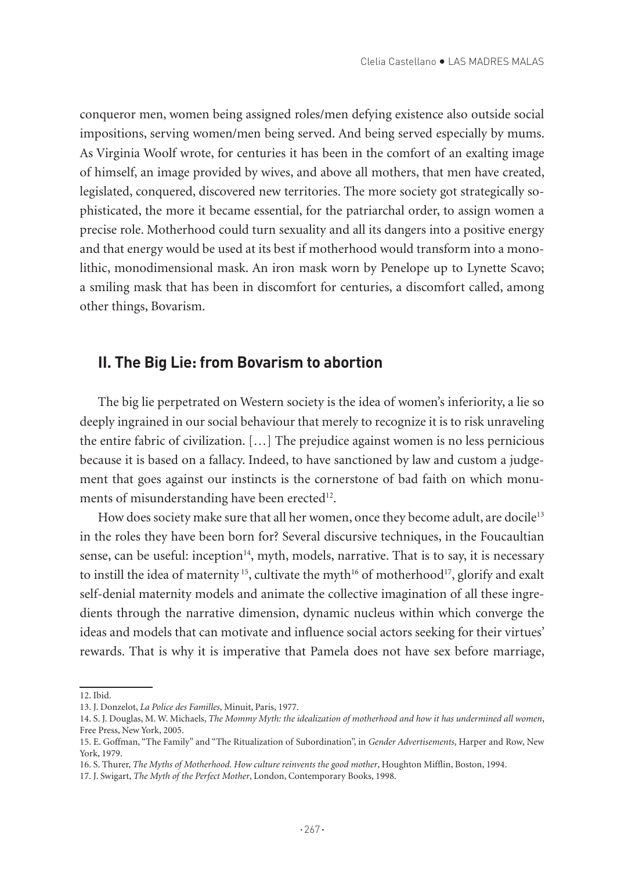conqueror men, women being assigned roles/men defying existence also outside social impositions, serving women/men being served. And being served especially by mums. As Virginia Woolf wrote, for centuries it has been in the comfort of an exalting image of himself, an image provided by wives, and above all mothers, that men have created, legislated, conquered, discovered new territories. The more society got strategically sophisticated, the more it became essential, for the patriarchal order, to assign women a precise role. Motherhood could turn sexuality and all its dangers into a positive energy and that energy would be used at its best if motherhood would transform into a monolithic, monodimensional mask. An iron mask worn by Penelope up to Lynette Scavo; a smiling mask that has been in discomfort for centuries, a discomfort called, among other things, Bovarism.

#### **II. The Big Lie: from Bovarism to abortion**

The big lie perpetrated on Western society is the idea of women's inferiority, a lie so deeply ingrained in our social behaviour that merely to recognize it is to risk unraveling the entire fabric of civilization. […] The prejudice against women is no less pernicious because it is based on a fallacy. Indeed, to have sanctioned by law and custom a judgement that goes against our instincts is the cornerstone of bad faith on which monuments of misunderstanding have been erected<sup>12</sup>.

How does society make sure that all her women, once they become adult, are docile<sup>13</sup> in the roles they have been born for? Several discursive techniques, in the Foucaultian sense, can be useful: inception<sup>14</sup>, myth, models, narrative. That is to say, it is necessary to instill the idea of maternity<sup>15</sup>, cultivate the myth<sup>16</sup> of motherhood<sup>17</sup>, glorify and exalt self-denial maternity models and animate the collective imagination of all these ingredients through the narrative dimension, dynamic nucleus within which converge the ideas and models that can motivate and influence social actors seeking for their virtues' rewards. That is why it is imperative that Pamela does not have sex before marriage,

<sup>12.</sup> Ibid.

<sup>13.</sup> J. Donzelot, *La Police des Familles*, Minuit, Paris, 1977.

<sup>14.</sup> S. J. Douglas, M. W. Michaels, *The Mommy Myth: the idealization of motherhood and how it has undermined all women*, Free Press, New York, 2005.

<sup>15.</sup> E. Goffman, "The Family" and "The Ritualization of Subordination", in *Gender Advertisements*, Harper and Row, New York, 1979.

<sup>16.</sup> S. Thurer, *The Myths of Motherhood. How culture reinvents the good mother*, Houghton Mifflin, Boston, 1994.

<sup>17.</sup> J. Swigart, *The Myth of the Perfect Mother*, London, Contemporary Books, 1998.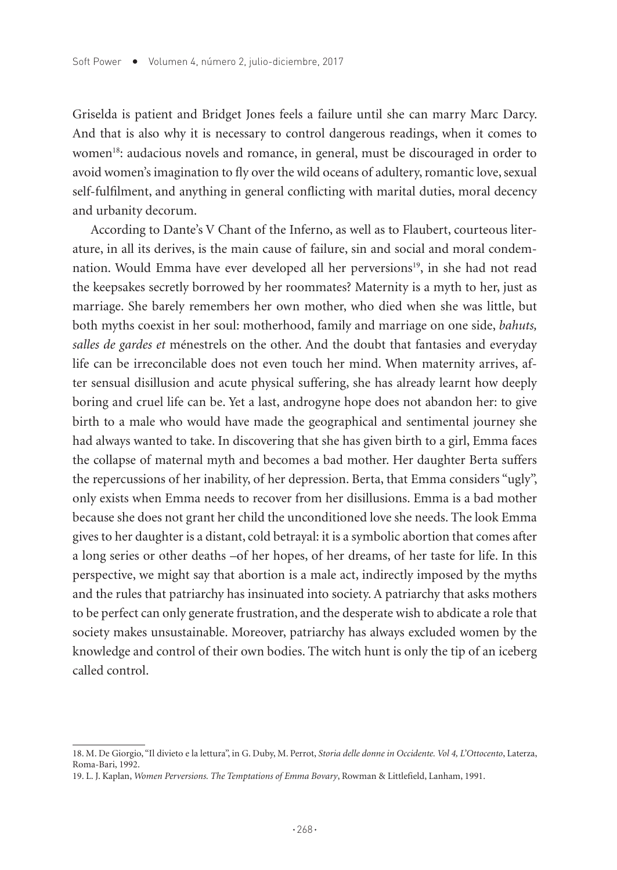Griselda is patient and Bridget Jones feels a failure until she can marry Marc Darcy. And that is also why it is necessary to control dangerous readings, when it comes to women<sup>18</sup>: audacious novels and romance, in general, must be discouraged in order to avoid women's imagination to fly over the wild oceans of adultery, romantic love, sexual self-fulfilment, and anything in general conflicting with marital duties, moral decency and urbanity decorum.

According to Dante's V Chant of the Inferno, as well as to Flaubert, courteous literature, in all its derives, is the main cause of failure, sin and social and moral condemnation. Would Emma have ever developed all her perversions<sup>19</sup>, in she had not read the keepsakes secretly borrowed by her roommates? Maternity is a myth to her, just as marriage. She barely remembers her own mother, who died when she was little, but both myths coexist in her soul: motherhood, family and marriage on one side, *bahuts, salles de gardes et* ménestrels on the other. And the doubt that fantasies and everyday life can be irreconcilable does not even touch her mind. When maternity arrives, after sensual disillusion and acute physical suffering, she has already learnt how deeply boring and cruel life can be. Yet a last, androgyne hope does not abandon her: to give birth to a male who would have made the geographical and sentimental journey she had always wanted to take. In discovering that she has given birth to a girl, Emma faces the collapse of maternal myth and becomes a bad mother. Her daughter Berta suffers the repercussions of her inability, of her depression. Berta, that Emma considers "ugly", only exists when Emma needs to recover from her disillusions. Emma is a bad mother because she does not grant her child the unconditioned love she needs. The look Emma gives to her daughter is a distant, cold betrayal: it is a symbolic abortion that comes after a long series or other deaths –of her hopes, of her dreams, of her taste for life. In this perspective, we might say that abortion is a male act, indirectly imposed by the myths and the rules that patriarchy has insinuated into society. A patriarchy that asks mothers to be perfect can only generate frustration, and the desperate wish to abdicate a role that society makes unsustainable. Moreover, patriarchy has always excluded women by the knowledge and control of their own bodies. The witch hunt is only the tip of an iceberg called control.

<sup>18.</sup> M. De Giorgio, "Il divieto e la lettura", in G. Duby, M. Perrot, *Storia delle donne in Occidente. Vol 4, L'Ottocento*, Laterza, Roma-Bari, 1992.

<sup>19.</sup> L. J. Kaplan, *Women Perversions. The Temptations of Emma Bovary*, Rowman & Littlefield, Lanham, 1991.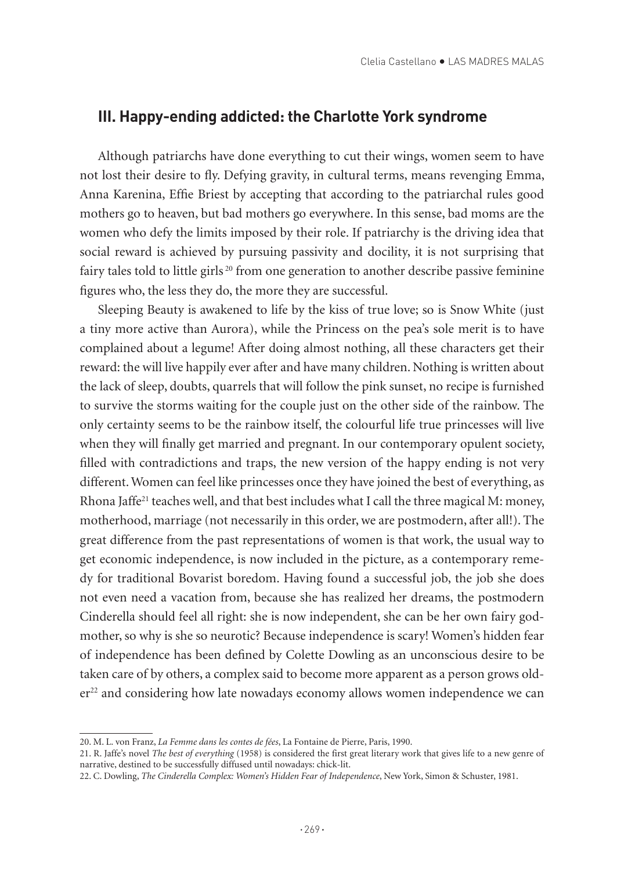#### **III. Happy-ending addicted: the Charlotte York syndrome**

Although patriarchs have done everything to cut their wings, women seem to have not lost their desire to fly. Defying gravity, in cultural terms, means revenging Emma, Anna Karenina, Effie Briest by accepting that according to the patriarchal rules good mothers go to heaven, but bad mothers go everywhere. In this sense, bad moms are the women who defy the limits imposed by their role. If patriarchy is the driving idea that social reward is achieved by pursuing passivity and docility, it is not surprising that fairy tales told to little girls  $^{20}$  from one generation to another describe passive feminine figures who, the less they do, the more they are successful.

Sleeping Beauty is awakened to life by the kiss of true love; so is Snow White (just a tiny more active than Aurora), while the Princess on the pea's sole merit is to have complained about a legume! After doing almost nothing, all these characters get their reward: the will live happily ever after and have many children. Nothing is written about the lack of sleep, doubts, quarrels that will follow the pink sunset, no recipe is furnished to survive the storms waiting for the couple just on the other side of the rainbow. The only certainty seems to be the rainbow itself, the colourful life true princesses will live when they will finally get married and pregnant. In our contemporary opulent society, filled with contradictions and traps, the new version of the happy ending is not very different. Women can feel like princesses once they have joined the best of everything, as Rhona Jaffe<sup>21</sup> teaches well, and that best includes what I call the three magical M: money, motherhood, marriage (not necessarily in this order, we are postmodern, after all!). The great difference from the past representations of women is that work, the usual way to get economic independence, is now included in the picture, as a contemporary remedy for traditional Bovarist boredom. Having found a successful job, the job she does not even need a vacation from, because she has realized her dreams, the postmodern Cinderella should feel all right: she is now independent, she can be her own fairy godmother, so why is she so neurotic? Because independence is scary! Women's hidden fear of independence has been defined by Colette Dowling as an unconscious desire to be taken care of by others, a complex said to become more apparent as a person grows older<sup>22</sup> and considering how late nowadays economy allows women independence we can

<sup>20.</sup> M. L. von Franz, *La Femme dans les contes de fées*, La Fontaine de Pierre, Paris, 1990.

<sup>21.</sup> R. Jaffe's novel *The best of everything* (1958) is considered the first great literary work that gives life to a new genre of narrative, destined to be successfully diffused until nowadays: chick-lit.

<sup>22.</sup> C. Dowling, *The Cinderella Complex: Women's Hidden Fear of Independence*, New York, Simon & Schuster, 1981.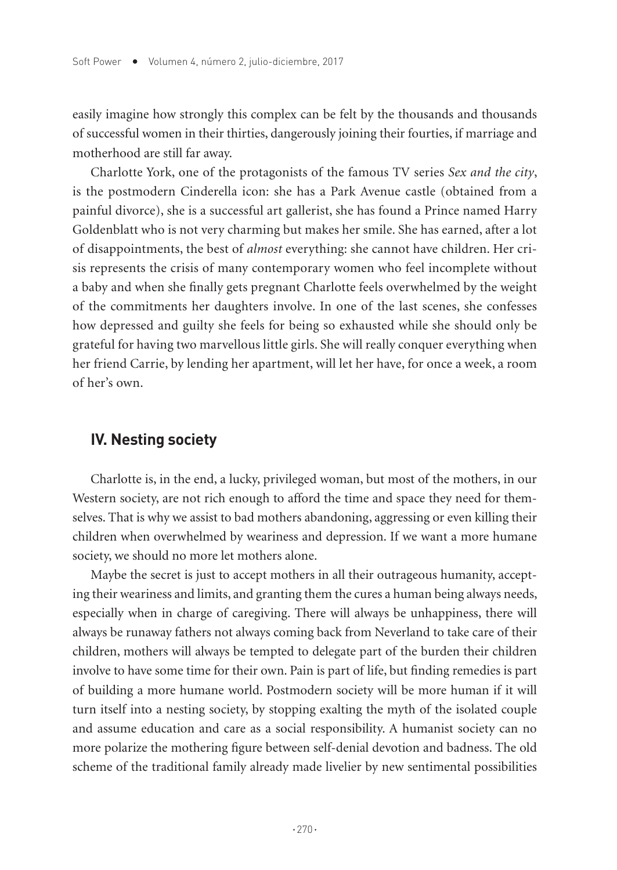easily imagine how strongly this complex can be felt by the thousands and thousands of successful women in their thirties, dangerously joining their fourties, if marriage and motherhood are still far away.

Charlotte York, one of the protagonists of the famous TV series *Sex and the city*, is the postmodern Cinderella icon: she has a Park Avenue castle (obtained from a painful divorce), she is a successful art gallerist, she has found a Prince named Harry Goldenblatt who is not very charming but makes her smile. She has earned, after a lot of disappointments, the best of *almost* everything: she cannot have children. Her crisis represents the crisis of many contemporary women who feel incomplete without a baby and when she finally gets pregnant Charlotte feels overwhelmed by the weight of the commitments her daughters involve. In one of the last scenes, she confesses how depressed and guilty she feels for being so exhausted while she should only be grateful for having two marvellous little girls. She will really conquer everything when her friend Carrie, by lending her apartment, will let her have, for once a week, a room of her's own.

#### **IV. Nesting society**

Charlotte is, in the end, a lucky, privileged woman, but most of the mothers, in our Western society, are not rich enough to afford the time and space they need for themselves. That is why we assist to bad mothers abandoning, aggressing or even killing their children when overwhelmed by weariness and depression. If we want a more humane society, we should no more let mothers alone.

Maybe the secret is just to accept mothers in all their outrageous humanity, accepting their weariness and limits, and granting them the cures a human being always needs, especially when in charge of caregiving. There will always be unhappiness, there will always be runaway fathers not always coming back from Neverland to take care of their children, mothers will always be tempted to delegate part of the burden their children involve to have some time for their own. Pain is part of life, but finding remedies is part of building a more humane world. Postmodern society will be more human if it will turn itself into a nesting society, by stopping exalting the myth of the isolated couple and assume education and care as a social responsibility. A humanist society can no more polarize the mothering figure between self-denial devotion and badness. The old scheme of the traditional family already made livelier by new sentimental possibilities